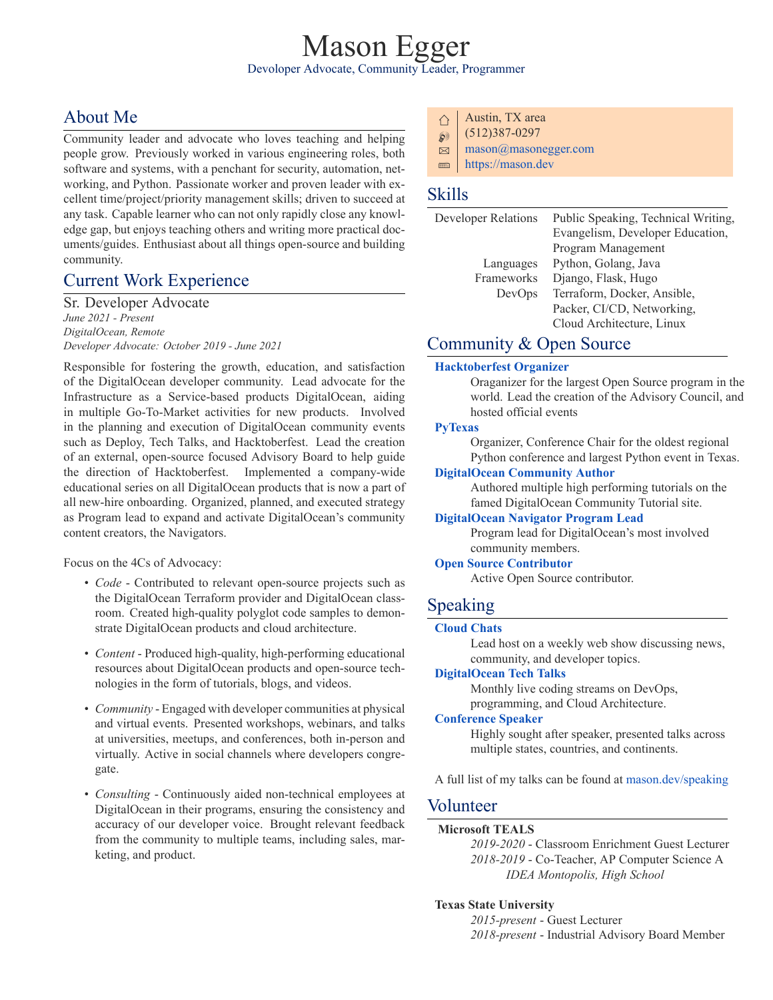# Mason Egger Devoloper Advocate, Community Leader, Programmer

# About Me

Community leader and advocate who loves teaching and helping people grow. Previously worked in various engineering roles, both software and systems, with a penchant for security, automation, networking, and Python. Passionate worker and proven leader with excellent time/project/priority management skills; driven to succeed at any task. Capable learner who can not only rapidly close any knowledge gap, but enjoys teaching others and writing more practical documents/guides. Enthusiast about all things open-source and building community.

# Current Work Experience

Sr. Developer Advocate *June 2021 Present DigitalOcean, Remote Developer Advocate: October 2019 June 2021*

Responsible for fostering the growth, education, and satisfaction of the DigitalOcean developer community. Lead advocate for the Infrastructure as a Service-based products DigitalOcean, aiding in multiple Go-To-Market activities for new products. Involved in the planning and execution of DigitalOcean community events such as Deploy, Tech Talks, and Hacktoberfest. Lead the creation of an external, open-source focused Advisory Board to help guide the direction of Hacktoberfest. Implemented a company-wide educational series on all DigitalOcean products that is now a part of all newhire onboarding. Organized, planned, and executed strategy as Program lead to expand and activate DigitalOcean's community content creators, the Navigators.

Focus on the 4Cs of Advocacy:

- *Code* Contributed to relevant open-source projects such as the DigitalOcean Terraform provider and DigitalOcean classroom. Created high-quality polyglot code samples to demonstrate DigitalOcean products and cloud architecture.
- *Content* Produced high-quality, high-performing educational resources about DigitalOcean products and open-source technologies in the form of tutorials, blogs, and videos.
- *Community* Engaged with developer communities at physical and virtual events. Presented workshops, webinars, and talks at universities, meetups, and conferences, both in-person and virtually. Active in social channels where developers congregate.
- *Consulting* Continuously aided non-technical employees at DigitalOcean in their programs, ensuring the consistency and accuracy of our developer voice. Brought relevant feedback from the community to multiple teams, including sales, marketing, and product.
- ⇧ Austin, TX area
- $\textcircled{5}$  (512)387-0297
- $\boxtimes$  [mason@masonegger.com](mailto:mason@masonegger.com)
- $\blacksquare$  <https://mason.dev>

## Skills

| <b>Developer Relations</b> | Public Speaking, Technical Writing, |
|----------------------------|-------------------------------------|
|                            | Evangelism, Developer Education,    |
|                            | Program Management                  |
| Languages                  | Python, Golang, Java                |
| Frameworks                 | Django, Flask, Hugo                 |
| DevOps                     | Terraform, Docker, Ansible,         |
|                            | Packer, CI/CD, Networking,          |
|                            | Cloud Architecture, Linux           |
|                            |                                     |

## Community & Open Source

### **[Hacktoberfest Organizer](https://hacktoberfest.digitalocean.com/)**

Oraganizer for the largest Open Source program in the world. Lead the creation of the Advisory Council, and hosted official events

#### **[PyTexas](https://pytexas.org)**

Organizer, Conference Chair for the oldest regional Python conference and largest Python event in Texas.

#### **[DigitalOcean Community Author](https://www.digitalocean.com/community/users/masonegger?subtype=tutorial)**

Authored multiple high performing tutorials on the famed DigitalOcean Community Tutorial site.

#### **[DigitalOcean Navigator Program Lead](https://www.digitalocean.com/community/pages/digitalocean-navigators)**

Program lead for DigitalOcean's most involved community members.

#### **[Open Source Contributor](https://github.com/masonegger)**

Active Open Source contributor.

## Speaking

#### **[Cloud Chats](https://www.digitalocean.com/community/pages/cloud-chats)**

Lead host on a weekly web show discussing news, community, and developer topics.

### **[DigitalOcean Tech Talks](https://www.digitalocean.com/community/users/masonegger?subtype=tech_talk)**

Monthly live coding streams on DevOps, programming, and Cloud Architecture.

#### **[Conference Speaker](https://mason.dev/speaking)**

Highly sought after speaker, presented talks across multiple states, countries, and continents.

A full list of my talks can be found at [mason.dev/speaking](https://mason.dev/speaking)

### Volunteer

#### **Microsoft TEALS**

*20192020* Classroom Enrichment Guest Lecturer 2018-2019 - Co-Teacher, AP Computer Science A *IDEA Montopolis, High School*

#### **Texas State University**

2015-present - Guest Lecturer 2018-present - Industrial Advisory Board Member